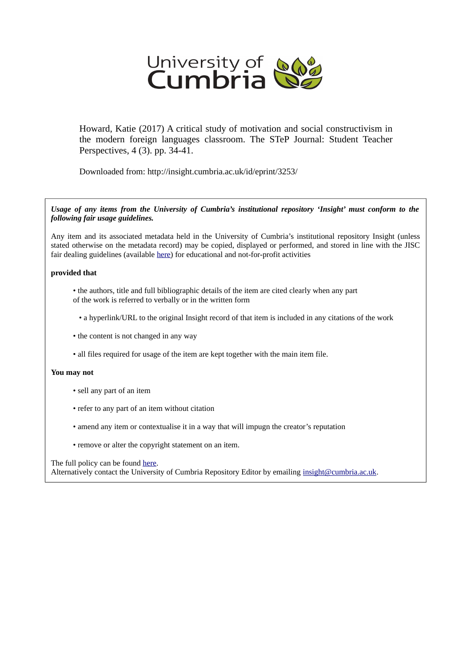

Howard, Katie (2017) A critical study of motivation and social constructivism in the modern foreign languages classroom. The STeP Journal: Student Teacher Perspectives, 4 (3). pp. 34-41.

Downloaded from: http://insight.cumbria.ac.uk/id/eprint/3253/

*Usage of any items from the University of Cumbria's institutional repository 'Insight' must conform to the following fair usage guidelines.*

Any item and its associated metadata held in the University of Cumbria's institutional repository Insight (unless stated otherwise on the metadata record) may be copied, displayed or performed, and stored in line with the JISC fair dealing guidelines (available [here\)](http://www.ukoln.ac.uk/services/elib/papers/pa/fair/) for educational and not-for-profit activities

#### **provided that**

- the authors, title and full bibliographic details of the item are cited clearly when any part of the work is referred to verbally or in the written form
	- a hyperlink/URL to the original Insight record of that item is included in any citations of the work
- the content is not changed in any way
- all files required for usage of the item are kept together with the main item file.

#### **You may not**

- sell any part of an item
- refer to any part of an item without citation
- amend any item or contextualise it in a way that will impugn the creator's reputation
- remove or alter the copyright statement on an item.

#### The full policy can be found [here.](http://insight.cumbria.ac.uk/legal.html#section5)

Alternatively contact the University of Cumbria Repository Editor by emailing [insight@cumbria.ac.uk.](mailto:insight@cumbria.ac.uk)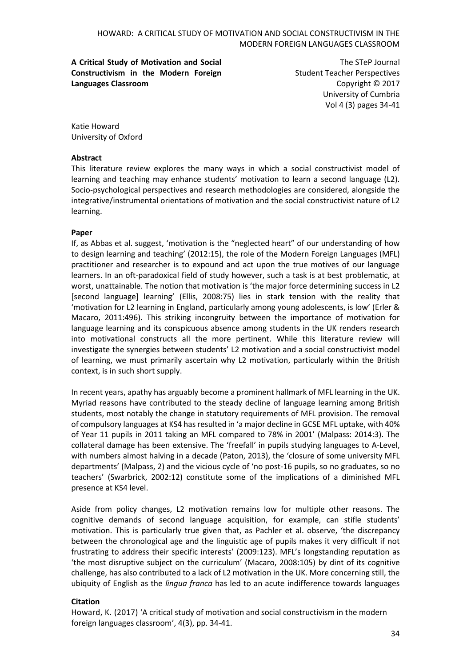**A Critical Study of Motivation and Social Constructivism in the Modern Foreign Languages Classroom**

The STeP Journal Student Teacher Perspectives Copyright © 2017 University of Cumbria Vol 4 (3) pages 34-41

Katie Howard University of Oxford

#### **Abstract**

This literature review explores the many ways in which a social constructivist model of learning and teaching may enhance students' motivation to learn a second language (L2). Socio-psychological perspectives and research methodologies are considered, alongside the integrative/instrumental orientations of motivation and the social constructivist nature of L2 learning.

## **Paper**

If, as Abbas et al. suggest, 'motivation is the "neglected heart" of our understanding of how to design learning and teaching' (2012:15), the role of the Modern Foreign Languages (MFL) practitioner and researcher is to expound and act upon the true motives of our language learners. In an oft-paradoxical field of study however, such a task is at best problematic, at worst, unattainable. The notion that motivation is 'the major force determining success in L2 [second language] learning' (Ellis, 2008:75) lies in stark tension with the reality that 'motivation for L2 learning in England, particularly among young adolescents, is low' (Erler & Macaro, 2011:496). This striking incongruity between the importance of motivation for language learning and its conspicuous absence among students in the UK renders research into motivational constructs all the more pertinent. While this literature review will investigate the synergies between students' L2 motivation and a social constructivist model of learning, we must primarily ascertain why L2 motivation, particularly within the British context, is in such short supply.

In recent years, apathy has arguably become a prominent hallmark of MFL learning in the UK. Myriad reasons have contributed to the steady decline of language learning among British students, most notably the change in statutory requirements of MFL provision. The removal of compulsory languages at KS4 has resulted in 'a major decline in GCSE MFL uptake, with 40% of Year 11 pupils in 2011 taking an MFL compared to 78% in 2001' (Malpass: 2014:3). The collateral damage has been extensive. The 'freefall' in pupils studying languages to A-Level, with numbers almost halving in a decade (Paton, 2013), the 'closure of some university MFL departments' (Malpass, 2) and the vicious cycle of 'no post-16 pupils, so no graduates, so no teachers' (Swarbrick, 2002:12) constitute some of the implications of a diminished MFL presence at KS4 level.

Aside from policy changes, L2 motivation remains low for multiple other reasons. The cognitive demands of second language acquisition, for example, can stifle students' motivation. This is particularly true given that, as Pachler et al. observe, 'the discrepancy between the chronological age and the linguistic age of pupils makes it very difficult if not frustrating to address their specific interests' (2009:123). MFL's longstanding reputation as 'the most disruptive subject on the curriculum' (Macaro, 2008:105) by dint of its cognitive challenge, has also contributed to a lack of L2 motivation in the UK. More concerning still, the ubiquity of English as the *lingua franca* has led to an acute indifference towards languages

## **Citation**

Howard, K. (2017) 'A critical study of motivation and social constructivism in the modern foreign languages classroom', 4(3), pp. 34-41.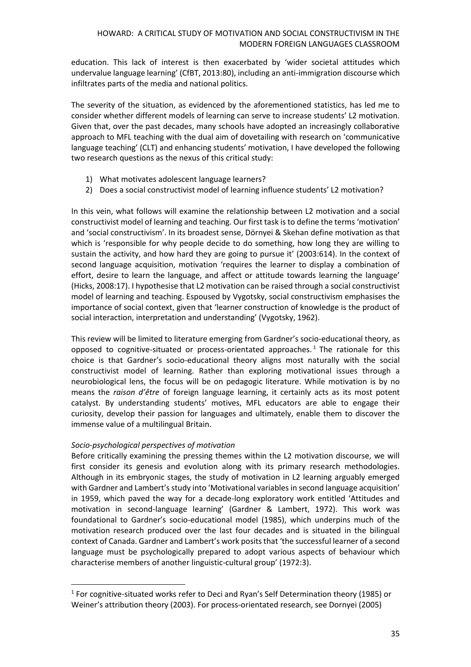education. This lack of interest is then exacerbated by 'wider societal attitudes which undervalue language learning' (CfBT, 2013:80), including an anti-immigration discourse which infiltrates parts of the media and national politics.

The severity of the situation, as evidenced by the aforementioned statistics, has led me to consider whether different models of learning can serve to increase students' L2 motivation. Given that, over the past decades, many schools have adopted an increasingly collaborative approach to MFL teaching with the dual aim of dovetailing with research on 'communicative language teaching' (CLT) and enhancing students' motivation, I have developed the following two research questions as the nexus of this critical study:

- 1) What motivates adolescent language learners?
- 2) Does a social constructivist model of learning influence students' L2 motivation?

In this vein, what follows will examine the relationship between L2 motivation and a social constructivist model of learning and teaching. Our first task is to define the terms 'motivation' and 'social constructivism'. In its broadest sense, Dörnyei & Skehan define motivation as that which is 'responsible for why people decide to do something, how long they are willing to sustain the activity, and how hard they are going to pursue it' (2003:614). In the context of second language acquisition, motivation 'requires the learner to display a combination of effort, desire to learn the language, and affect or attitude towards learning the language' (Hicks, 2008:17). I hypothesise that L2 motivation can be raised through a social constructivist model of learning and teaching. Espoused by Vygotsky, social constructivism emphasises the importance of social context, given that 'learner construction of knowledge is the product of social interaction, interpretation and understanding' (Vygotsky, 1962).

This review will be limited to literature emerging from Gardner's socio-educational theory, as opposed to cognitive-situated or process-orientated approaches.<sup>1</sup> The rationale for this choice is that Gardner's socio-educational theory aligns most naturally with the social constructivist model of learning. Rather than exploring motivational issues through a neurobiological lens, the focus will be on pedagogic literature. While motivation is by no means the *raison d'être* of foreign language learning, it certainly acts as its most potent catalyst. By understanding students' motives, MFL educators are able to engage their curiosity, develop their passion for languages and ultimately, enable them to discover the immense value of a multilingual Britain.

## *Socio-psychological perspectives of motivation*

 $\overline{\phantom{a}}$ 

Before critically examining the pressing themes within the L2 motivation discourse, we will first consider its genesis and evolution along with its primary research methodologies. Although in its embryonic stages, the study of motivation in L2 learning arguably emerged with Gardner and Lambert's study into 'Motivational variables in second language acquisition' in 1959, which paved the way for a decade-long exploratory work entitled 'Attitudes and motivation in second-language learning' (Gardner & Lambert, 1972). This work was foundational to Gardner's socio-educational model (1985), which underpins much of the motivation research produced over the last four decades and is situated in the bilingual context of Canada. Gardner and Lambert's work posits that 'the successful learner of a second language must be psychologically prepared to adopt various aspects of behaviour which characterise members of another linguistic-cultural group' (1972:3).

<sup>&</sup>lt;sup>1</sup> For cognitive-situated works refer to Deci and Ryan's Self Determination theory (1985) or Weiner's attribution theory (2003). For process-orientated research, see Dornyei (2005)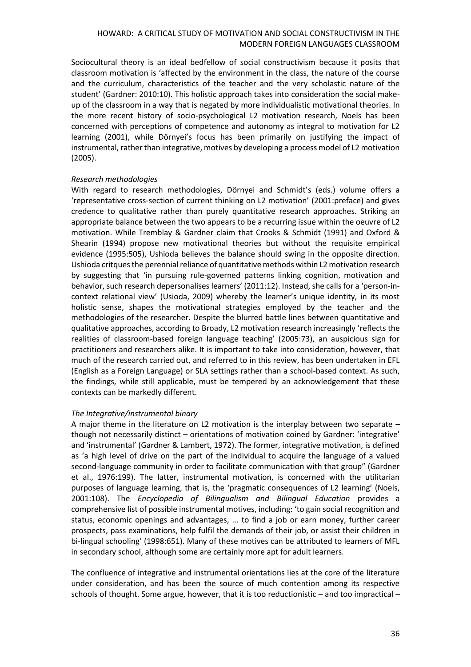Sociocultural theory is an ideal bedfellow of social constructivism because it posits that classroom motivation is 'affected by the environment in the class, the nature of the course and the curriculum, characteristics of the teacher and the very scholastic nature of the student' (Gardner: 2010:10). This holistic approach takes into consideration the social makeup of the classroom in a way that is negated by more individualistic motivational theories. In the more recent history of socio-psychological L2 motivation research, Noels has been concerned with perceptions of competence and autonomy as integral to motivation for L2 learning (2001), while Dörnyei's focus has been primarily on justifying the impact of instrumental, rather than integrative, motives by developing a process model of L2 motivation (2005).

## *Research methodologies*

With regard to research methodologies, Dörnyei and Schmidt's (eds.) volume offers a 'representative cross-section of current thinking on L2 motivation' (2001:preface) and gives credence to qualitative rather than purely quantitative research approaches. Striking an appropriate balance between the two appears to be a recurring issue within the oeuvre of L2 motivation. While Tremblay & Gardner claim that Crooks & Schmidt (1991) and Oxford & Shearin (1994) propose new motivational theories but without the requisite empirical evidence (1995:505), Ushioda believes the balance should swing in the opposite direction. Ushioda critques the perennial reliance of quantitative methods within L2 motivation research by suggesting that 'in pursuing rule-governed patterns linking cognition, motivation and behavior, such research depersonalises learners' (2011:12). Instead, she calls for a 'person-incontext relational view' (Usioda, 2009) whereby the learner's unique identity, in its most holistic sense, shapes the motivational strategies employed by the teacher and the methodologies of the researcher. Despite the blurred battle lines between quantitative and qualitative approaches, according to Broady, L2 motivation research increasingly 'reflects the realities of classroom-based foreign language teaching' (2005:73), an auspicious sign for practitioners and researchers alike. It is important to take into consideration, however, that much of the research carried out, and referred to in this review, has been undertaken in EFL (English as a Foreign Language) or SLA settings rather than a school-based context. As such, the findings, while still applicable, must be tempered by an acknowledgement that these contexts can be markedly different.

## *The Integrative/instrumental binary*

A major theme in the literature on L2 motivation is the interplay between two separate – though not necessarily distinct – orientations of motivation coined by Gardner: 'integrative' and 'instrumental' (Gardner & Lambert, 1972). The former, integrative motivation, is defined as 'a high level of drive on the part of the individual to acquire the language of a valued second-language community in order to facilitate communication with that group" (Gardner et al., 1976:199). The latter, instrumental motivation, is concerned with the utilitarian purposes of language learning, that is, the 'pragmatic consequences of L2 learning' (Noels, 2001:108). The *Encyclopedia of Bilingualism and Bilingual Education* provides a comprehensive list of possible instrumental motives, including: 'to gain social recognition and status, economic openings and advantages, ... to find a job or earn money, further career prospects, pass examinations, help fulfil the demands of their job, or assist their children in bi-lingual schooling' (1998:651). Many of these motives can be attributed to learners of MFL in secondary school, although some are certainly more apt for adult learners.

The confluence of integrative and instrumental orientations lies at the core of the literature under consideration, and has been the source of much contention among its respective schools of thought. Some argue, however, that it is too reductionistic – and too impractical –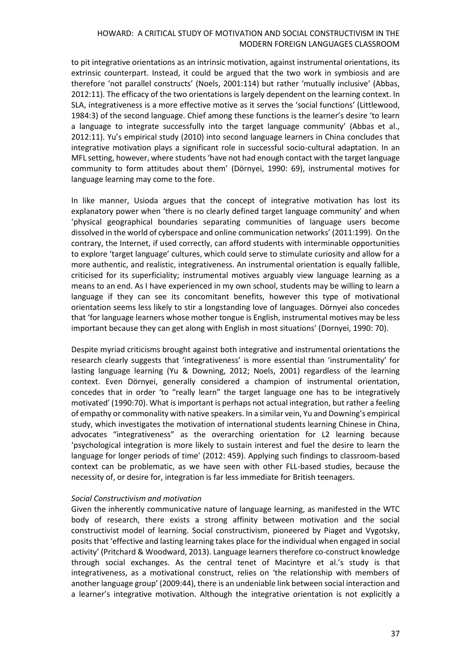to pit integrative orientations as an intrinsic motivation, against instrumental orientations, its extrinsic counterpart. Instead, it could be argued that the two work in symbiosis and are therefore 'not parallel constructs' (Noels, 2001:114) but rather 'mutually inclusive' (Abbas, 2012:11). The efficacy of the two orientations is largely dependent on the learning context. In SLA, integrativeness is a more effective motive as it serves the 'social functions' (Littlewood, 1984:3) of the second language. Chief among these functions is the learner's desire 'to learn a language to integrate successfully into the target language community' (Abbas et al., 2012:11). Yu's empirical study (2010) into second language learners in China concludes that integrative motivation plays a significant role in successful socio-cultural adaptation. In an MFL setting, however, where students 'have not had enough contact with the target language community to form attitudes about them' (Dörnyei, 1990: 69), instrumental motives for language learning may come to the fore.

In like manner, Usioda argues that the concept of integrative motivation has lost its explanatory power when 'there is no clearly defined target language community' and when 'physical geographical boundaries separating communities of language users become dissolved in the world of cyberspace and online communication networks' (2011:199). On the contrary, the Internet, if used correctly, can afford students with interminable opportunities to explore 'target language' cultures, which could serve to stimulate curiosity and allow for a more authentic, and realistic, integrativeness. An instrumental orientation is equally fallible, criticised for its superficiality; instrumental motives arguably view language learning as a means to an end. As I have experienced in my own school, students may be willing to learn a language if they can see its concomitant benefits, however this type of motivational orientation seems less likely to stir a longstanding love of languages. Dörnyei also concedes that 'for language learners whose mother tongue is English, instrumental motives may be less important because they can get along with English in most situations' (Dornyei, 1990: 70).

Despite myriad criticisms brought against both integrative and instrumental orientations the research clearly suggests that 'integrativeness' is more essential than 'instrumentality' for lasting language learning (Yu & Downing, 2012; Noels, 2001) regardless of the learning context. Even Dörnyei, generally considered a champion of instrumental orientation, concedes that in order 'to "really learn" the target language one has to be integratively motivated' (1990:70). What is important is perhaps not actual integration, but rather a feeling of empathy or commonality with native speakers. In a similar vein, Yu and Downing's empirical study, which investigates the motivation of international students learning Chinese in China, advocates "integrativeness" as the overarching orientation for L2 learning because 'psychological integration is more likely to sustain interest and fuel the desire to learn the language for longer periods of time' (2012: 459). Applying such findings to classroom-based context can be problematic, as we have seen with other FLL-based studies, because the necessity of, or desire for, integration is far less immediate for British teenagers.

# *Social Constructivism and motivation*

Given the inherently communicative nature of language learning, as manifested in the WTC body of research, there exists a strong affinity between motivation and the social constructivist model of learning. Social constructivism, pioneered by Piaget and Vygotsky, posits that 'effective and lasting learning takes place for the individual when engaged in social activity' (Pritchard & Woodward, 2013). Language learners therefore co-construct knowledge through social exchanges. As the central tenet of Macintyre et al.'s study is that integrativeness, as a motivational construct, relies on 'the relationship with members of another language group' (2009:44), there is an undeniable link between social interaction and a learner's integrative motivation. Although the integrative orientation is not explicitly a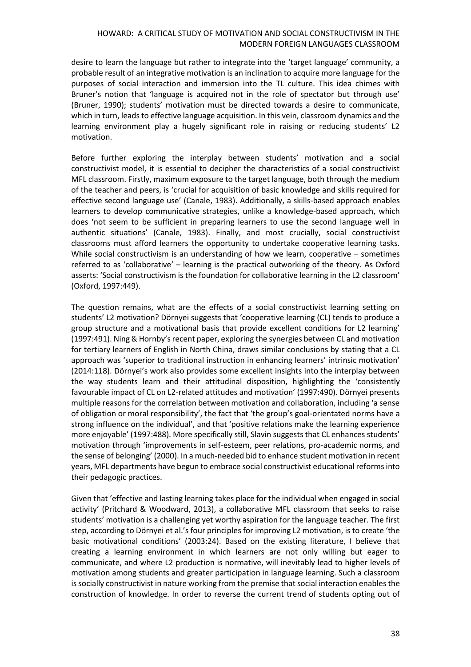desire to learn the language but rather to integrate into the 'target language' community, a probable result of an integrative motivation is an inclination to acquire more language for the purposes of social interaction and immersion into the TL culture. This idea chimes with Bruner's notion that 'language is acquired not in the role of spectator but through use' (Bruner, 1990); students' motivation must be directed towards a desire to communicate, which in turn, leads to effective language acquisition. In this vein, classroom dynamics and the learning environment play a hugely significant role in raising or reducing students' L2 motivation.

Before further exploring the interplay between students' motivation and a social constructivist model, it is essential to decipher the characteristics of a social constructivist MFL classroom. Firstly, maximum exposure to the target language, both through the medium of the teacher and peers, is 'crucial for acquisition of basic knowledge and skills required for effective second language use' (Canale, 1983). Additionally, a skills-based approach enables learners to develop communicative strategies, unlike a knowledge-based approach, which does 'not seem to be sufficient in preparing learners to use the second language well in authentic situations' (Canale, 1983). Finally, and most crucially, social constructivist classrooms must afford learners the opportunity to undertake cooperative learning tasks. While social constructivism is an understanding of how we learn, cooperative – sometimes referred to as 'collaborative' – learning is the practical outworking of the theory. As Oxford asserts: 'Social constructivism is the foundation for collaborative learning in the L2 classroom' (Oxford, 1997:449).

The question remains, what are the effects of a social constructivist learning setting on students' L2 motivation? Dörnyei suggests that 'cooperative learning (CL) tends to produce a group structure and a motivational basis that provide excellent conditions for L2 learning' (1997:491). Ning & Hornby's recent paper, exploring the synergies between CL and motivation for tertiary learners of English in North China, draws similar conclusions by stating that a CL approach was 'superior to traditional instruction in enhancing learners' intrinsic motivation' (2014:118). Dörnyei's work also provides some excellent insights into the interplay between the way students learn and their attitudinal disposition, highlighting the 'consistently favourable impact of CL on L2-related attitudes and motivation' (1997:490). Dörnyei presents multiple reasons for the correlation between motivation and collaboration, including 'a sense of obligation or moral responsibility', the fact that 'the group's goal-orientated norms have a strong influence on the individual', and that 'positive relations make the learning experience more enjoyable' (1997:488). More specifically still, Slavin suggests that CL enhances students' motivation through 'improvements in self-esteem, peer relations, pro-academic norms, and the sense of belonging' (2000). In a much-needed bid to enhance student motivation in recent years, MFL departments have begun to embrace social constructivist educational reforms into their pedagogic practices.

Given that 'effective and lasting learning takes place for the individual when engaged in social activity' (Pritchard & Woodward, 2013), a collaborative MFL classroom that seeks to raise students' motivation is a challenging yet worthy aspiration for the language teacher. The first step, according to Dörnyei et al.'s four principles for improving L2 motivation, is to create 'the basic motivational conditions' (2003:24). Based on the existing literature, I believe that creating a learning environment in which learners are not only willing but eager to communicate, and where L2 production is normative, will inevitably lead to higher levels of motivation among students and greater participation in language learning. Such a classroom is socially constructivist in nature working from the premise that social interaction enables the construction of knowledge. In order to reverse the current trend of students opting out of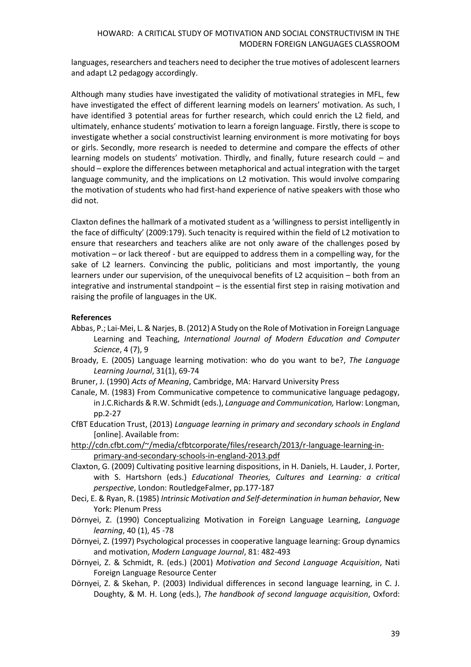languages, researchers and teachers need to decipher the true motives of adolescent learners and adapt L2 pedagogy accordingly.

Although many studies have investigated the validity of motivational strategies in MFL, few have investigated the effect of different learning models on learners' motivation. As such, I have identified 3 potential areas for further research, which could enrich the L2 field, and ultimately, enhance students' motivation to learn a foreign language. Firstly, there is scope to investigate whether a social constructivist learning environment is more motivating for boys or girls. Secondly, more research is needed to determine and compare the effects of other learning models on students' motivation. Thirdly, and finally, future research could – and should – explore the differences between metaphorical and actual integration with the target language community, and the implications on L2 motivation. This would involve comparing the motivation of students who had first-hand experience of native speakers with those who did not.

Claxton defines the hallmark of a motivated student as a 'willingness to persist intelligently in the face of difficulty' (2009:179). Such tenacity is required within the field of L2 motivation to ensure that researchers and teachers alike are not only aware of the challenges posed by motivation – or lack thereof - but are equipped to address them in a compelling way, for the sake of L2 learners. Convincing the public, politicians and most importantly, the young learners under our supervision, of the unequivocal benefits of L2 acquisition – both from an integrative and instrumental standpoint – is the essential first step in raising motivation and raising the profile of languages in the UK.

## **References**

- Abbas, P.; Lai-Mei, L. & Narjes, B. (2012) A Study on the Role of Motivation in Foreign Language Learning and Teaching, *International Journal of Modern Education and Computer Science*, 4 (7), 9
- Broady, E. (2005) Language learning motivation: who do you want to be?, *The Language Learning Journal*, 31(1), 69-74
- Bruner, J. (1990) *Acts of Meaning*, Cambridge, MA: Harvard University Press
- Canale, M. (1983) From Communicative competence to communicative language pedagogy, in J.C.Richards & R.W. Schmidt (eds.), *Language and Communication,* Harlow: Longman, pp.2-27
- CfBT Education Trust, (2013) *Language learning in primary and secondary schools in England*  [online]. Available from:
- [http://cdn.cfbt.com/~/media/cfbtcorporate/files/research/2013/r-language-learning-in](http://cdn.cfbt.com/~/media/cfbtcorporate/files/research/2013/r-language-learning-in-primary-and-secondary-schools-in-england-2013.pdf)[primary-and-secondary-schools-in-england-2013.pdf](http://cdn.cfbt.com/~/media/cfbtcorporate/files/research/2013/r-language-learning-in-primary-and-secondary-schools-in-england-2013.pdf)
- Claxton, G. (2009) Cultivating positive learning dispositions, in H. Daniels, H. Lauder, J. Porter, with S. Hartshorn (eds.) *Educational Theories, Cultures and Learning: a critical perspective*, London: RoutledgeFalmer, pp.177-187
- Deci, E. & Ryan, R. (1985) *Intrinsic Motivation and Self-determination in human behavior,* New York: Plenum Press
- Dörnyei, Z. (1990) Conceptualizing Motivation in Foreign Language Learning, *Language learning*, 40 (1), 45 -78
- Dörnyei, Z. (1997) Psychological processes in cooperative language learning: Group dynamics and motivation, *Modern Language Journal*, 81: 482-493
- Dörnyei, Z. & Schmidt, R. (eds.) (2001) *Motivation and Second Language Acquisition*, Nati Foreign Language Resource Center
- Dörnyei, Z. & Skehan, P. (2003) Individual differences in second language learning, in C. J. Doughty, & M. H. Long (eds.), *The handbook of second language acquisition*, Oxford: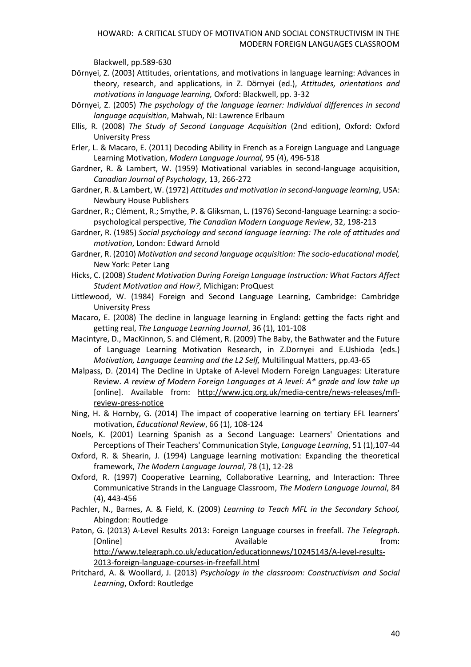Blackwell, pp.589-630

- Dörnyei, Z. (2003) Attitudes, orientations, and motivations in language learning: Advances in theory, research, and applications, in Z. Dörnyei (ed.), *Attitudes, orientations and motivations in language learning,* Oxford: Blackwell, pp. 3-32
- Dörnyei, Z. (2005) *The psychology of the language learner: Individual differences in second language acquisition*, Mahwah, NJ: Lawrence Erlbaum
- Ellis, R. (2008) *The Study of Second Language Acquisition* (2nd edition), Oxford: Oxford University Press
- Erler, L. & Macaro, E. (2011) Decoding Ability in French as a Foreign Language and Language Learning Motivation, *Modern Language Journal,* 95 (4), 496-518
- Gardner, R. & Lambert, W. (1959) Motivational variables in second-language acquisition, *Canadian Journal of Psychology*, 13, 266-272
- Gardner, R. & Lambert, W. (1972) *Attitudes and motivation in second-language learning*, USA: Newbury House Publishers
- Gardner, R.; Clément, R.; Smythe, P. & Gliksman, L. (1976) Second-language Learning: a sociopsychological perspective, *The Canadian Modern Language Review*, 32, 198-213
- Gardner, R. (1985) *Social psychology and second language learning: The role of attitudes and motivation*, London: Edward Arnold
- Gardner, R. (2010) *Motivation and second language acquisition: The socio-educational model,*  New York: Peter Lang
- Hicks, C. (2008) *Student Motivation During Foreign Language Instruction: What Factors Affect Student Motivation and How?,* Michigan: ProQuest
- Littlewood, W. (1984) Foreign and Second Language Learning, Cambridge: Cambridge University Press
- Macaro, E. (2008) The decline in language learning in England: getting the facts right and getting real, *The Language Learning Journal*, 36 (1), 101-108
- Macintyre, D., MacKinnon, S. and Clément, R. (2009) The Baby, the Bathwater and the Future of Language Learning Motivation Research, in Z.Dornyei and E.Ushioda (eds.) *Motivation, Language Learning and the L2 Self,* Multilingual Matters, pp.43-65
- Malpass, D. (2014) The Decline in Uptake of A-level Modern Foreign Languages: Literature Review. *[A review of Modern Foreign Languages at A level: A\\* grade and low take up](http://www.jcq.org.uk/media-centre/news-releases/mfl-review-press-notice)* [online]. Available from: [http://www.jcq.org.uk/media-centre/news-releases/mfl](http://www.jcq.org.uk/media-centre/news-releases/mfl-review-press-notice)[review-press-notice](http://www.jcq.org.uk/media-centre/news-releases/mfl-review-press-notice)
- Ning, H. & Hornby, G. (2014) The impact of cooperative learning on tertiary EFL learners' motivation, *Educational Review*, 66 (1), 108-124
- Noels, K. (2001) Learning Spanish as a Second Language: Learners' Orientations and Perceptions of Their Teachers' Communication Style, *Language Learning*, 51 (1),107-44
- Oxford, R. & Shearin, J. (1994) Language learning motivation: Expanding the theoretical framework, *The Modern Language Journal*, 78 (1), 12-28
- Oxford, R. (1997) Cooperative Learning, Collaborative Learning, and Interaction: Three Communicative Strands in the Language Classroom, *The Modern Language Journal*, 84 (4), 443-456
- Pachler, N., Barnes, A. & Field, K. (2009) *Learning to Teach MFL in the Secondary School,*  Abingdon: Routledge
- Paton, G. (2013) A-Level Results 2013: Foreign Language courses in freefall. *The Telegraph.*  [Online] Available from: [http://www.telegraph.co.uk/education/educationnews/10245143/A-level-results-](http://www.telegraph.co.uk/education/educationnews/10245143/A-level-results-2013-foreign-language-courses-in-freefall.html)

[2013-foreign-language-courses-in-freefall.html](http://www.telegraph.co.uk/education/educationnews/10245143/A-level-results-2013-foreign-language-courses-in-freefall.html)

Pritchard, A. & Woollard, J. (2013) *Psychology in the classroom: Constructivism and Social Learning*, Oxford: Routledge